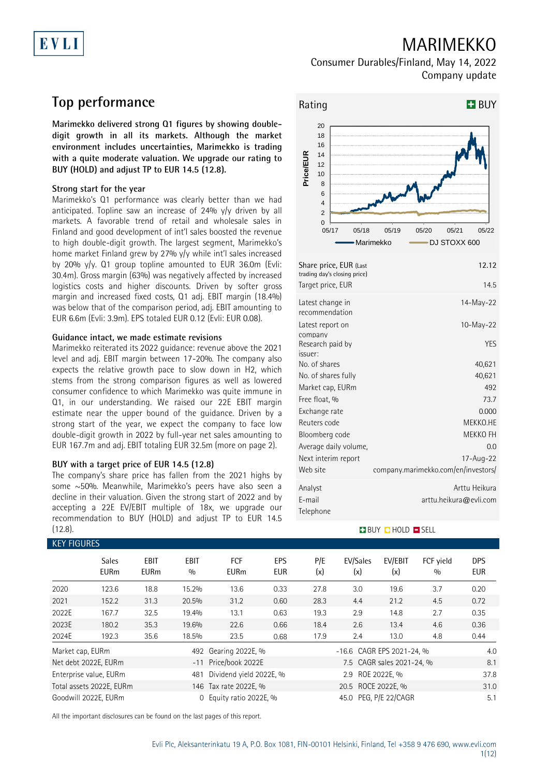# EVLI

## MARIMEKKO

## Consumer Durables/Finland, May 14, 2022 Company update

## **Top performance**

**Marimekko delivered strong Q1 figures by showing doubledigit growth in all its markets. Although the market environment includes uncertainties, Marimekko is trading with a quite moderate valuation. We upgrade our rating to BUY (HOLD) and adjust TP to EUR 14.5 (12.8).**

### **Strong start for the year**

Marimekko's Q1 performance was clearly better than we had anticipated. Topline saw an increase of 24%  $y/y$  driven by all markets. A favorable trend of retail and wholesale sales in Finland and good development of int'l sales boosted the revenue to high double-digit growth. The largest segment, Marimekko's home market Finland grew by 27% y/y while int'l sales increased by 20% y/y. Q1 group topline amounted to EUR 36.0m (Evli: 30.4m). Gross margin (63%) was negatively affected by increased logistics costs and higher discounts. Driven by softer gross margin and increased fixed costs, Q1 adj. EBIT margin (18.4%) was below that of the comparison period, adj. EBIT amounting to EUR 6.6m (Evli: 3.9m). EPS totaled EUR 0.12 (Evli: EUR 0.08).

### **Guidance intact, we made estimate revisions**

Marimekko reiterated its 2022 guidance: revenue above the 2021 level and adj. EBIT margin between 17-20%. The company also expects the relative growth pace to slow down in H2, which stems from the strong comparison figures as well as lowered consumer confidence to which Marimekko was quite immune in Q1, in our understanding. We raised our 22E EBIT margin estimate near the upper bound of the guidance. Driven by a strong start of the year, we expect the company to face low double-digit growth in 2022 by full-year net sales amounting to EUR 167.7m and adj. EBIT totaling EUR 32.5m (more on page 2).

### **BUY with a target price of EUR 14.5 (12.8)**

The company's share price has fallen from the 2021 highs by some ~50%. Meanwhile, Marimekko's peers have also seen a decline in their valuation. Given the strong start of 2022 and by accepting a 22E EV/EBIT multiple of 18x, we upgrade our recommendation to BUY (HOLD) and adjust TP to EUR 14.5 (12.8).



| Share price, EUR (Last<br>trading day's closing price) | 12.12                               |
|--------------------------------------------------------|-------------------------------------|
| Target price, EUR                                      | 14.5                                |
| Latest change in<br>recommendation                     | 14-May-22                           |
| Latest report on<br>company                            | $10-May-22$                         |
| Research paid by<br>issuer:                            | YES                                 |
| No. of shares                                          | 40,621                              |
| No. of shares fully                                    | 40,621                              |
| Market cap, EURm                                       | 492                                 |
| Free float, %                                          | 73.7                                |
| Exchange rate                                          | 0.000                               |
| Reuters code                                           | MEKKO.HE                            |
| Bloomberg code                                         | MEKKO FH                            |
| Average daily volume,                                  | 0.0                                 |
| Next interim report                                    | 17-Aug-22                           |
| Web site                                               | company.marimekko.com/en/investors/ |
| Analyst                                                | Arttu Heikura                       |
| E-mail                                                 | arttu.heikura@evli.com              |
| Telephone                                              |                                     |

### BUY **D** HOLD **D** SELL

|                               | <b>KEY FIGURES</b>          |                            |                    |                                             |                          |                           |                           |                          |                  |                   |  |
|-------------------------------|-----------------------------|----------------------------|--------------------|---------------------------------------------|--------------------------|---------------------------|---------------------------|--------------------------|------------------|-------------------|--|
|                               | <b>Sales</b><br><b>EURm</b> | <b>EBIT</b><br><b>EURm</b> | <b>EBIT</b><br>0/0 | <b>FCF</b><br><b>EURm</b>                   | <b>EPS</b><br><b>EUR</b> | P/E<br>(x)                | EV/Sales<br>(x)           | EV/EBIT<br>(x)           | FCF yield<br>0/0 | DPS<br><b>EUR</b> |  |
| 2020                          | 123.6                       | 18.8                       | 15.2%              | 13.6                                        | 0.33                     | 27.8                      | 3.0                       | 19.6                     | 3.7              | 0.20              |  |
| 2021                          | 152.2                       | 31.3                       | 20.5%              | 31.2                                        | 0.60                     | 28.3                      | 4.4                       | 21.2                     | 4.5              | 0.72              |  |
| 2022E                         | 167.7                       | 32.5                       | 19.4%              | 13.1                                        | 0.63                     | 19.3                      | 2.9                       | 14.8                     | 2.7              | 0.35              |  |
| 2023E                         | 180.2                       | 35.3                       | 19.6%              | 22.6                                        | 0.66                     | 18.4                      | 2.6                       | 13.4                     | 4.6              | 0.36              |  |
| 2024E                         | 192.3                       | 35.6                       | 18.5%              | 23.5                                        | 0.68                     | 17.9                      | 2.4                       | 13.0                     | 4.8              | 0.44              |  |
| Market cap, EURm              |                             |                            |                    | 492 Gearing 2022E, %                        |                          | -16.6 CAGR EPS 2021-24, % | 4.0                       |                          |                  |                   |  |
|                               | Net debt 2022E, EURm        |                            |                    | -11 Price/book 2022E                        |                          |                           | 7.5 CAGR sales 2021-24, % |                          |                  |                   |  |
| Enterprise value, EURm<br>481 |                             |                            |                    | Dividend yield 2022E, %                     |                          |                           |                           | 2.9 ROE 2022E, %<br>37.8 |                  |                   |  |
|                               | Total assets 2022E, EURm    |                            |                    | 20.5 ROCE 2022E, %<br>146 Tax rate 2022E, % |                          |                           |                           | 31.0                     |                  |                   |  |
|                               | Goodwill 2022E, EURm        |                            | 0                  | Equity ratio 2022E, %                       |                          |                           | 45.0 PEG. P/E 22/CAGR     |                          |                  | 5.1               |  |

All the important disclosures can be found on the last pages of this report.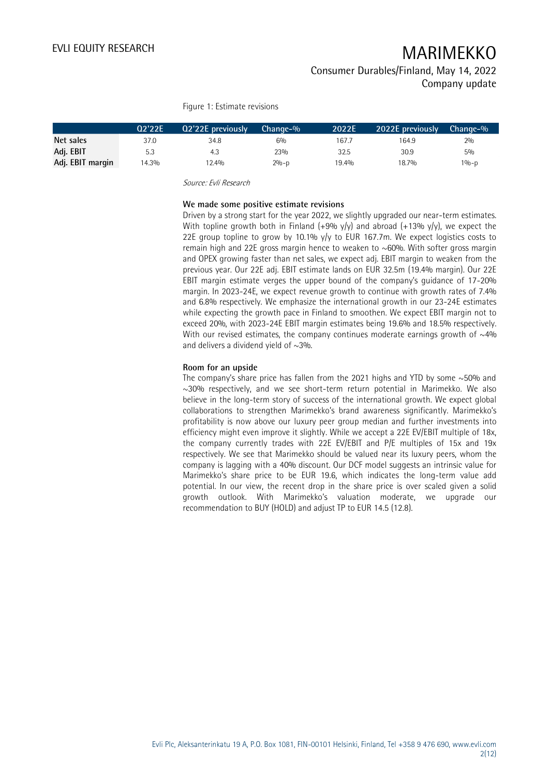### Consumer Durables/Finland, May 14, 2022 Company update

Figure 1: Estimate revisions

|                  | 02'22E | Q2'22E previously | $Change-9$ | 2022E | 2022E previously | Change-% |  |
|------------------|--------|-------------------|------------|-------|------------------|----------|--|
| Net sales        | 37.0   | 34.8              | 6%         | 167.7 | 164.9            | 2%       |  |
| Adj. EBIT        | 5.3    | 4.3               | 23%        | 32.5  | 30.9             | 5%       |  |
| Adj. EBIT margin | 14.3%  | 12.4%             | $2% - p$   | 19.4% | 18.7%            | $1% - p$ |  |

Source: Evli Research

### **We made some positive estimate revisions**

Driven by a strong start for the year 2022, we slightly upgraded our near-term estimates. With topline growth both in Finland  $(+9\% \text{ y/y})$  and abroad  $(+13\% \text{ y/y})$ , we expect the 22E group topline to grow by 10.1% y/y to EUR 167.7m. We expect logistics costs to remain high and 22E gross margin hence to weaken to  $\sim$  60%. With softer gross margin and OPEX growing faster than net sales, we expect adj. EBIT margin to weaken from the previous year. Our 22E adj. EBIT estimate lands on EUR 32.5m (19.4% margin). Our 22E EBIT margin estimate verges the upper bound of the company's guidance of 17-20% margin. In 2023-24E, we expect revenue growth to continue with growth rates of 7.4% and 6.8% respectively. We emphasize the international growth in our 23-24E estimates while expecting the growth pace in Finland to smoothen. We expect EBIT margin not to exceed 20%, with 2023-24E EBIT margin estimates being 19.6% and 18.5% respectively. With our revised estimates, the company continues moderate earnings growth of  $\sim$ 4% and delivers a dividend yield of  $\sim$ 3%.

### **Room for an upside**

The company's share price has fallen from the 2021 highs and YTD by some  $\sim$  50% and  $\sim$ 30% respectively, and we see short-term return potential in Marimekko. We also believe in the long-term story of success of the international growth. We expect global collaborations to strengthen Marimekko's brand awareness significantly. Marimekko's profitability is now above our luxury peer group median and further investments into efficiency might even improve it slightly. While we accept a 22E EV/EBIT multiple of 18x, the company currently trades with 22E EV/EBIT and P/E multiples of 15x and 19x respectively. We see that Marimekko should be valued near its luxury peers, whom the company is lagging with a 40% discount. Our DCF model suggests an intrinsic value for Marimekko's share price to be EUR 19.6, which indicates the long-term value add potential. In our view, the recent drop in the share price is over scaled given a solid growth outlook. With Marimekko's valuation moderate, we upgrade our recommendation to BUY (HOLD) and adjust TP to EUR 14.5 (12.8).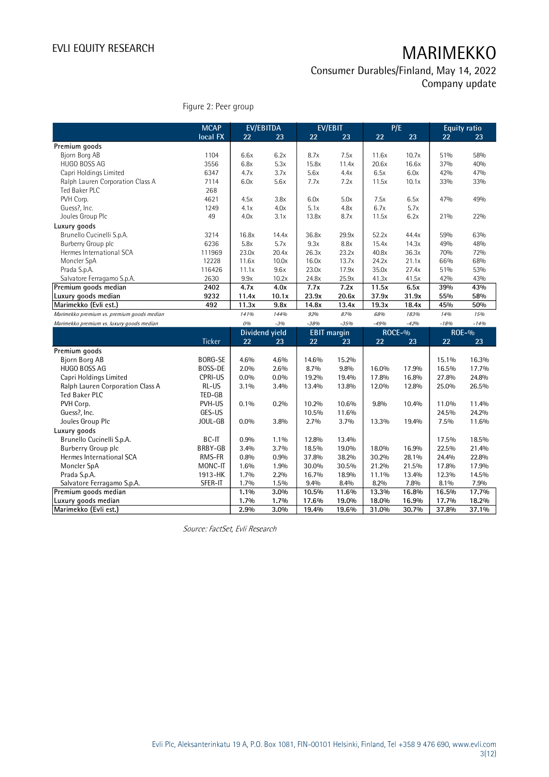Consumer Durables/Finland, May 14, 2022 Company update

Figure 2: Peer group

|                                            | <b>MCAP</b>    |         | <b>EV/EBITDA</b> |                    | <b>EV/EBIT</b> |        | P/E    |        | <b>Equity ratio</b> |
|--------------------------------------------|----------------|---------|------------------|--------------------|----------------|--------|--------|--------|---------------------|
|                                            | local FX       | 22      | 23               | 22                 | 23             | 22     | 23     | 22     | 23                  |
| Premium goods                              |                |         |                  |                    |                |        |        |        |                     |
| Biorn Borg AB                              | 1104           | 6.6x    | 6.2x             | 8.7x               | 7.5x           | 11.6x  | 10.7x  | 51%    | 58%                 |
| HUGO BOSS AG                               | 3556           | 6.8x    | 5.3x             | 15.8x              | 11.4x          | 20.6x  | 16.6x  | 37%    | 40%                 |
| Capri Holdings Limited                     | 6347           | 4.7x    | 3.7x             | 5.6x               | 4.4x           | 6.5x   | 6.0x   | 42%    | 47%                 |
| Ralph Lauren Corporation Class A           | 7114           | 6.0x    | 5.6x             | 7.7x               | 7.2x           | 11.5x  | 10.1x  | 33%    | 33%                 |
| Ted Baker PLC                              | 268            |         |                  |                    |                |        |        |        |                     |
| PVH Corp.                                  | 4621           | 4.5x    | 3.8x             | 6.0x               | 5.0x           | 7.5x   | 6.5x   | 47%    | 49%                 |
| Guess?, Inc.                               | 1249           | 4.1x    | 4.0x             | 5.1x               | 4.8x           | 6.7x   | 5.7x   |        |                     |
| Joules Group Plc                           | 49             | 4.0x    | 3.1x             | 13.8x              | 8.7x           | 11.5x  | 6.2x   | 21%    | 22%                 |
| Luxury goods                               |                |         |                  |                    |                |        |        |        |                     |
| Brunello Cucinelli S.p.A.                  | 3214           | 16.8x   | 14.4x            | 36.8x              | 29.9x          | 52.2x  | 44.4x  | 59%    | 63%                 |
| Burberry Group plc                         | 6236           | 5.8x    | 5.7x             | 9.3x               | 8.8x           | 15.4x  | 14.3x  | 49%    | 48%                 |
| Hermes International SCA                   | 111969         | 23.0x   | 20.4x            | 26.3x              | 23.2x          | 40.8x  | 36.3x  | 70%    | 72%                 |
| Moncler SpA                                | 12228          | 11.6x   | 10.0x            | 16.0x              | 13.7x          | 24.2x  | 21.1x  | 66%    | 68%                 |
| Prada S.p.A.                               | 116426         | 11.1x   | 9.6x             | 23.0x              | 17.9x          | 35.0x  | 27.4x  | 51%    | 53%                 |
| Salvatore Ferragamo S.p.A.                 | 2630           | 9.9x    | 10.2x            | 24.8x              | 25.9x          | 41.3x  | 41.5x  | 42%    | 43%                 |
| Premium goods median                       | 2402           | 4.7x    | 4.0x             | 7.7x               | 7.2x           | 11.5x  | 6.5x   | 39%    | 43%                 |
| Luxury goods median                        | 9232           | 11.4x   | 10.1x            | 23.9x              | 20.6x          | 37.9x  | 31.9x  | 55%    | 58%                 |
| Marimekko (Evli est.)                      | 492            | 11.3x   | 9.8x             | 14.8x              | 13.4x          | 19.3x  | 18.4x  | 45%    | 50%                 |
| Marimekko premium vs. premium goods median |                | 141%    | 144%             | 92%                | 87%            | 68%    | 183%   | 14%    | 15%                 |
| Marimekko premium vs. luxury goods median  |                | 0%      | $-3%$            | $-38%$             | $-35%$         | $-49%$ | $-42%$ | $-18%$ | $-14%$              |
|                                            |                |         | Dividend yield   | <b>EBIT</b> margin |                |        | ROCE-% |        | <b>ROE-%</b>        |
|                                            | Ticker         | 22      | 23               | 22                 | 23             | 22     | 23     | 22     | 23                  |
| Premium goods                              |                |         |                  |                    |                |        |        |        |                     |
| <b>Bjorn Borg AB</b>                       | <b>BORG-SE</b> | 4.6%    | 4.6%             | 14.6%              | 15.2%          |        |        | 15.1%  | 16.3%               |
| <b>HUGO BOSS AG</b>                        | BOSS-DE        | 2.0%    | 2.6%             | 8.7%               | 9.8%           | 16.0%  | 17.9%  | 16.5%  | 17.7%               |
| Capri Holdings Limited                     | <b>CPRI-US</b> | 0.0%    | $0.0\%$          | 19.2%              | 19.4%          | 17.8%  | 16.8%  | 27.8%  | 24.8%               |
| Ralph Lauren Corporation Class A           | RL-US          | 3.1%    | 3.4%             | 13.4%              | 13.8%          | 12.0%  | 12.8%  | 25.0%  | 26.5%               |
| <b>Ted Baker PLC</b>                       | TED-GB         |         |                  |                    |                |        |        |        |                     |
| PVH Corp.                                  | PVH-US         | 0.1%    | 0.2%             | 10.2%              | 10.6%          | 9.8%   | 10.4%  | 11.0%  | 11.4%               |
| Guess?, Inc.                               | GES-US         |         |                  | 10.5%              | 11.6%          |        |        | 24.5%  | 24.2%               |
| Joules Group Plc                           | JOUL-GB        | $0.0\%$ | 3.8%             | 2.7%               | 3.7%           | 13.3%  | 19.4%  | 7.5%   | 11.6%               |
| Luxury goods                               |                |         |                  |                    |                |        |        |        |                     |
| Brunello Cucinelli S.p.A.                  | BC-IT          | 0.9%    | $1.1\%$          | 12.8%              | 13.4%          |        |        | 17.5%  | 18.5%               |
| Burberry Group plc                         | BRBY-GB        | 3.4%    | 3.7%             | 18.5%              | 19.0%          | 18.0%  | 16.9%  | 22.5%  | 21.4%               |
| Hermes International SCA                   | RMS-FR         | 0.8%    | 0.9%             | 37.8%              | 38.2%          | 30.2%  | 28.1%  | 24.4%  | 22.8%               |
| Moncler SpA                                | MONC-IT        | 1.6%    | 1.9%             | 30.0%              | 30.5%          | 21.2%  | 21.5%  | 17.8%  | 17.9%               |
| Prada S.p.A.                               | 1913-HK        | 1.7%    | $2.2\%$          | 16.7%              | 18.9%          | 11.1%  | 13.4%  | 12.3%  | 14.5%               |
| Salvatore Ferragamo S.p.A.                 | SFER-IT        | 1.7%    | 1.5%             | 9.4%               | 8.4%           | 8.2%   | 7.8%   | 8.1%   | 7.9%                |
| Premium goods median                       |                | 1.1%    | 3.0%             | 10.5%              | 11.6%          | 13.3%  | 16.8%  | 16.5%  | 17.7%               |
| Luxury goods median                        |                | 1.7%    | 1.7%             | 17.6%              | 19.0%          | 18.0%  | 16.9%  | 17.7%  | 18.2%               |
| Marimekko (Evli est.)                      |                | 2.9%    | 3.0%             | 19.4%              | 19.6%          | 31.0%  | 30.7%  | 37.8%  | 37.1%               |

Source: FactSet, Evli Research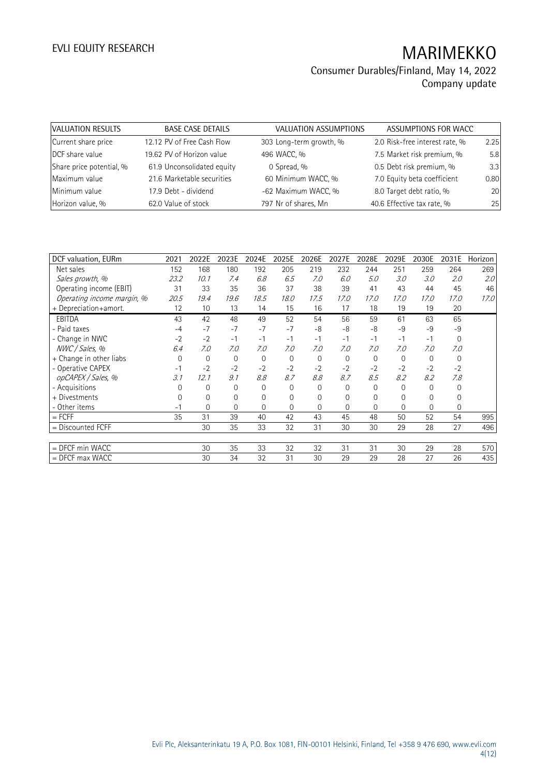| VALUATION RESULTS        | <b>BASE CASE DETAILS</b>   | <b>VALUATION ASSUMPTIONS</b> | ASSUMPTIONS FOR WACC           |      |
|--------------------------|----------------------------|------------------------------|--------------------------------|------|
| Current share price      | 12.12 PV of Free Cash Flow | 303 Long-term growth, %      | 2.0 Risk-free interest rate, % | 2.25 |
| DCF share value          | 19.62 PV of Horizon value  | 496 WACC, %                  | 7.5 Market risk premium, %     | 5.8  |
| Share price potential, % | 61.9 Unconsolidated equity | 0 Spread, %                  | 0.5 Debt risk premium, %       | 3.3  |
| Maximum value            | 21.6 Marketable securities | 60 Minimum WACC, %           | 7.0 Equity beta coefficient    | 0.80 |
| Minimum value            | 17.9 Debt - dividend       | -62 Maximum WACC, %          | 8.0 Target debt ratio, %       | 20   |
| Horizon value, %         | 62.0 Value of stock        | 797 Nr of shares, Mn         | 40.6 Effective tax rate, %     | 25   |

| DCF valuation, EURm        | 2021     | 2022E       | 2023E | 2024E    | 2025E       | 2026E          | 2027E       | 2028E       | 2029E    | 2030E    | 2031E        | Horizon |
|----------------------------|----------|-------------|-------|----------|-------------|----------------|-------------|-------------|----------|----------|--------------|---------|
| Net sales                  | 152      | 168         | 180   | 192      | 205         | 219            | 232         | 244         | 251      | 259      | 264          | 269     |
| Sales growth, %            | 23.2     | 10.1        | 7.4   | 6.8      | 6.5         | 7.0            | 6.0         | 5.0         | 3.0      | 3.0      | 2.0          | 2.0     |
| Operating income (EBIT)    | 31       | 33          | 35    | 36       | 37          | 38             | 39          | 41          | 43       | 44       | 45           | 46      |
| Operating income margin, % | 20.5     | 19.4        | 19.6  | 18.5     | 18.0        | 17.5           | 17.0        | 17.0        | 17.0     | 17.0     | 17.0         | 17.0    |
| + Depreciation+amort.      | 12       | 10          | 13    | 14       | 15          | 16             | 17          | 18          | 19       | 19       | 20           |         |
| EBITDA                     | 43       | 42          | 48    | 49       | 52          | 54             | 56          | 59          | 61       | 63       | 65           |         |
| - Paid taxes               | $-4$     | $-7$        | $-7$  | $-7$     | $-7$        | $-8$           | -8          | -8          | $-9$     | $-9$     | $-9$         |         |
| - Change in NWC            | $-2$     | $-2$        | $-1$  | $-1$     | $-1$        | $-1$           | $-1$        | $-1$        | $-1$     | $-1$     | $\mathbf{0}$ |         |
| NWC / Sales, %             | 6.4      | 7.0         | 7.0   | 7.0      | 7.0         | 7.0            | 7.0         | 7.0         | 7.0      | 7.0      | 7.0          |         |
| + Change in other liabs    | $\Omega$ | $\mathbf 0$ | 0     | $\Omega$ | $\mathbf 0$ | $\overline{0}$ | $\Omega$    | $\mathbf 0$ | 0        | $\Omega$ | $\mathbf{0}$ |         |
| - Operative CAPEX          | $-1$     | $-2$        | $-2$  | $-2$     | $-2$        | $-2$           | $-2$        | $-2$        | $-2$     | $-2$     | $-2$         |         |
| opCAPEX / Sales, %         | 3.1      | 12.1        | 9.1   | 8.8      | 8.7         | 8.8            | 8.7         | 8.5         | 8.2      | 8.2      | 7.8          |         |
| - Acquisitions             |          | 0           | 0     | $\Omega$ | 0           | 0              | $\Omega$    | $\Omega$    | 0        | $\Omega$ | $\Omega$     |         |
| + Divestments              |          | 0           | 0     | 0        | 0           | 0              | $\mathbf 0$ | 0           | $\Omega$ | 0        | 0            |         |
| - Other items              | - 1      | 0           | 0     | $\Omega$ | 0           | $\Omega$       | $\Omega$    | $\Omega$    | 0        | $\Omega$ | $\Omega$     |         |
| $=$ FCFF                   | 35       | 31          | 39    | 40       | 42          | 43             | 45          | 48          | 50       | 52       | 54           | 995     |
| = Discounted FCFF          |          | 30          | 35    | 33       | 32          | 31             | 30          | 30          | 29       | 28       | 27           | 496     |
|                            |          |             |       |          |             |                |             |             |          |          |              |         |
| $=$ DFCF min WACC          |          | 30          | 35    | 33       | 32          | 32             | 31          | 31          | 30       | 29       | 28           | 570     |
| $=$ DFCF max WACC          |          | 30          | 34    | 32       | 31          | 30             | 29          | 29          | 28       | 27       | 26           | 435     |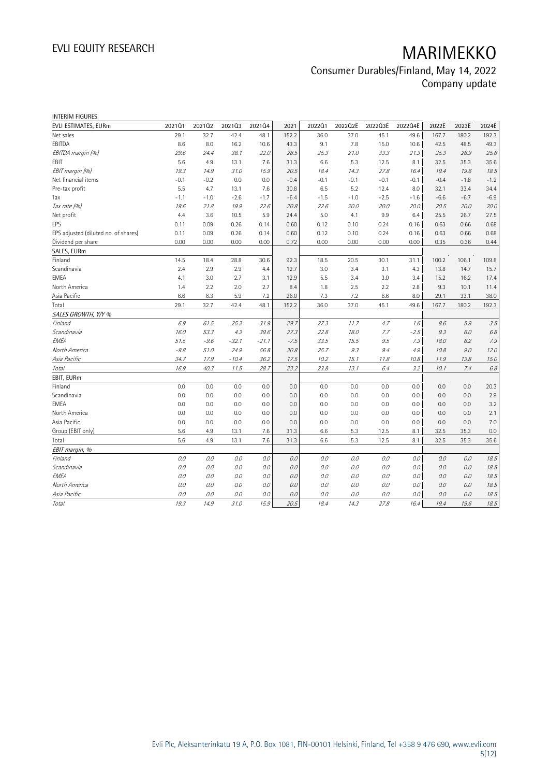| <b>INTERIM FIGURES</b>               |        |        |         |         |        |         |         |         |         |        |        |        |
|--------------------------------------|--------|--------|---------|---------|--------|---------|---------|---------|---------|--------|--------|--------|
| EVLI ESTIMATES, EURm                 | 202101 | 202102 | 202103  | 202104  | 2021   | 202201  | 2022Q2E | 2022Q3E | 2022Q4E | 2022E  | 2023E  | 2024E  |
| Net sales                            | 29.1   | 32.7   | 42.4    | 48.1    | 152.2  | 36.0    | 37.0    | 45.1    | 49.6    | 167.7  | 180.2  | 192.3  |
| EBITDA                               | 8.6    | 8.0    | 16.2    | 10.6    | 43.3   | 9.1     | 7.8     | 15.0    | 10.6    | 42.5   | 48.5   | 49.3   |
| EBITDA margin (%)                    | 29.6   | 24.4   | 38.1    | 22.0    | 28.5   | 25.3    | 21.0    | 33.3    | 21.3    | 25.3   | 26.9   | 25.6   |
| EBIT                                 | 5.6    | 4.9    | 13.1    | 7.6     | 31.3   | 6.6     | 5.3     | 12.5    | 8.1     | 32.5   | 35.3   | 35.6   |
| EBIT margin (%)                      | 19.3   | 14.9   | 31.0    | 15.9    | 20.5   | 18.4    | 14.3    | 27.8    | 16.4    | 19.4   | 19.6   | 18.5   |
| Net financial items                  | $-0.1$ | $-0.2$ | 0.0     | 0.0     | $-0.4$ | $-0.1$  | $-0.1$  | $-0.1$  | $-0.1$  | $-0.4$ | $-1.8$ | $-1.2$ |
| Pre-tax profit                       | 5.5    | 4.7    | 13.1    | 7.6     | 30.8   | 6.5     | 5.2     | 12.4    | 8.0     | 32.1   | 33.4   | 34.4   |
| Tax                                  | $-1.1$ | $-1.0$ | $-2.6$  | $-1.7$  | $-6.4$ | $-1.5$  | $-1.0$  | $-2.5$  | $-1.6$  | $-6.6$ | $-6.7$ | $-6.9$ |
| Tax rate (%)                         | 19.6   | 21.8   | 19.9    | 22.6    | 20.8   | 22.6    | 20.0    | 20.0    | 20.0    | 20.5   | 20.0   | 20.0   |
| Net profit                           | 4.4    | 3.6    | 10.5    | 5.9     | 24.4   | 5.0     | 4.1     | 9.9     | 6.4     | 25.5   | 26.7   | 27.5   |
| EPS                                  | 0.11   | 0.09   | 0.26    | 0.14    | 0.60   | 0.12    | 0.10    | 0.24    | 0.16    | 0.63   | 0.66   | 0.68   |
| EPS adjusted (diluted no. of shares) | 0.11   | 0.09   | 0.26    | 0.14    | 0.60   | 0.12    | 0.10    | 0.24    | 0.16    | 0.63   | 0.66   | 0.68   |
| Dividend per share                   | 0.00   | 0.00   | 0.00    | 0.00    | 0.72   | 0.00    | 0.00    | 0.00    | 0.00    | 0.35   | 0.36   | 0.44   |
| SALES, EURm                          |        |        |         |         |        |         |         |         |         |        |        |        |
| Finland                              | 14.5   | 18.4   | 28.8    | 30.6    | 92.3   | 18.5    | 20.5    | 30.1    | 31.1    | 100.2  | 106.1  | 109.8  |
| Scandinavia                          | 2.4    | 2.9    | 2.9     | 4.4     | 12.7   | 3.0     | 3.4     | 3.1     | 4.3     | 13.8   | 14.7   | 15.7   |
| <b>EMEA</b>                          | 4.1    | 3.0    | 2.7     | 3.1     | 12.9   | 5.5     | 3.4     | 3.0     | 3.4     | 15.2   | 16.2   | 17.4   |
| North America                        | 1.4    | 2.2    | 2.0     | 2.7     | 8.4    | 1.8     | 2.5     | 2.2     | 2.8     | 9.3    | 10.1   | 11.4   |
| Asia Pacific                         | 6.6    | 6.3    | 5.9     | 7.2     | 26.0   | 7.3     | 7.2     | 6.6     | 8.0     | 29.1   | 33.1   | 38.0   |
| Total                                | 29.1   | 32.7   | 42.4    | 48.1    | 152.2  | 36.0    | 37.0    | 45.1    | 49.6    | 167.7  | 180.2  | 192.3  |
| SALES GROWTH, Y/Y %                  |        |        |         |         |        |         |         |         |         |        |        |        |
| Finland                              | 6.9    | 61.5   | 25.3    | 31.9    | 29.7   | 27.3    | 11.7    | 4.7     | 1.6     | 8.6    | 5.9    | 3.5    |
| Scandinavia                          | 16.0   | 53.3   | 4.3     | 39.6    | 27.3   | 22.8    | 18.0    | 7.7     | $-2.5$  | 9.3    | 6.0    | 6.8    |
| EMEA                                 | 51.5   | $-9.6$ | $-32.1$ | $-21.1$ | $-7.5$ | 33.5    | 15.5    | 9.5     | 7.3     | 18.0   | 6.2    | 7.9    |
| North America                        | $-9.8$ | 51.0   | 24.9    | 56.8    | 30.8   | 25.7    | 9.3     | 9.4     | 4.9     | 10.8   | 9.0    | 12.0   |
| Asia Pacific                         | 34.7   | 17.9   | $-10.4$ | 36.2    | 17.5   | 10.2    | 15.1    | 11.8    | 10.8    | 11.9   | 13.8   | 15.0   |
| Total                                | 16.9   | 40.3   | 11.5    | 28.7    | 23.2   | 23.8    | 13.1    | 6.4     | 3.2     | 10.1   | 7.4    | 6.8    |
| EBIT, EURm                           |        |        |         |         |        |         |         |         |         |        |        |        |
| Finland                              | 0.0    | 0.0    | 0.0     | 0.0     | 0.0    | 0.0     | 0.0     | 0.0     | 0.0     | 0.0    | 0.0    | 20.3   |
| Scandinavia                          | 0.0    | 0.0    | 0.0     | 0.0     | 0.0    | 0.0     | 0.0     | 0.0     | 0.0     | 0.0    | 0.0    | 2.9    |
| <b>EMEA</b>                          | 0.0    | 0.0    | 0.0     | 0.0     | 0.0    | 0.0     | 0.0     | 0.0     | 0.0     | 0.0    | 0.0    | 3.2    |
| North America                        | 0.0    | 0.0    | 0.0     | 0.0     | 0.0    | 0.0     | 0.0     | 0.0     | 0.0     | 0.0    | 0.0    | 2.1    |
| Asia Pacific                         | 0.0    | 0.0    | 0.0     | 0.0     | 0.0    | 0.0     | 0.0     | 0.0     | 0.0     | 0.0    | 0.0    | 7.0    |
| Group (EBIT only)                    | 5.6    | 4.9    | 13.1    | 7.6     | 31.3   | 6.6     | 5.3     | 12.5    | 8.1     | 32.5   | 35.3   | 0.0    |
| Total                                | 5.6    | 4.9    | 13.1    | 7.6     | 31.3   | 6.6     | 5.3     | 12.5    | 8.1     | 32.5   | 35.3   | 35.6   |
| EBIT margin, %                       |        |        |         |         |        |         |         |         |         |        |        |        |
| Finland                              | 0.0    | 0.0    | 0.0     | 0.0     | 0.0    | 0.0     | 0.0     | 0.0     | 0.0     | 0.0    | 0.0    | 18.5   |
| Scandinavia                          | 0.0    | 0.0    | 0.0     | 0.0     | 0.0    | 0.0     | 0.0     | 0.0     | 0.0     | 0.0    | 0.0    | 18.5   |
| EMEA                                 | $O.O$  | 0.0    | 0.0     | 0.0     | 0.0    | $0.0\,$ | 0.0     | 0.0     | 0.0     | 0.0    | 0.0    | 18.5   |
| North America                        | 0.0    | 0.0    | 0.0     | 0.0     | 0.0    | 0.0     | 0.0     | 0.0     | 0.0     | 0.0    | 0.0    | 18.5   |
| Asia Pacific                         | 0.0    | 0.0    | 0.0     | 0.0     | 0.0    | 0.0     | 0.0     | 0.0     | 0.0     | 0.0    | 0.0    | 18.5   |
| <b>Total</b>                         | 19.3   | 14.9   | 31.0    | 15.9    | 20.5   | 18.4    | 14.3    | 27.8    | 16.4    | 19.4   | 19.6   | 18.5   |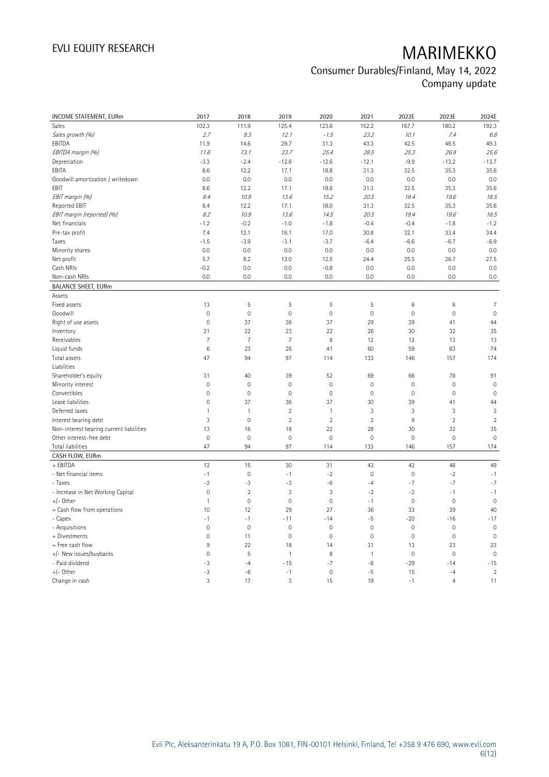| INCOME STATEMENT, EURm                   | 2017           | 2018         | 2019                | 2020           | 2021         | 2022E               | 2023E          | 2024E               |
|------------------------------------------|----------------|--------------|---------------------|----------------|--------------|---------------------|----------------|---------------------|
| Sales                                    | 102.3          | 111.9        | 125.4               | 123.6          | 152.2        | 167.7               | 180.2          | 192.3               |
| Sales growth (%)                         | 2.7            | 9.3          | 12.1                | $-1.5$         | 23.2         | 10.1                | 7.4            | 6.8                 |
| EBITDA                                   | 11.9           | 14.6         | 29.7                | 31.3           | 43.3         | 42.5                | 48.5           | 49.3                |
| EBITDA margin (%)                        | 11.6           | 13.1         | 23.7                | 25.4           | 28.5         | 25.3                | 26.9           | 25.6                |
| Depreciation                             | $-3.3$         | $-2.4$       | $-12.6$             | $-12.6$        | $-12.1$      | $-9.9$              | $-13.2$        | $-13.7$             |
| EBITA                                    | 8.6            | 12.2         | 17.1                | 18.8           | 31.3         | 32.5                | 35.3           | 35.6                |
| Goodwill amortization / writedown        | 0.0            | 0.0          | 0.0                 | 0.0            | 0.0          | 0.0                 | 0.0            | 0.0                 |
| EBIT                                     | 8.6            | 12.2         | 17.1                | 18.8           | 31.3         | 32.5                | 35.3           | 35.6                |
| EBIT margin (%)                          | 8.4            | 10.9         | 13.6                | 15.2           | 20.5         | 19.4                | 19.6           | 18.5                |
|                                          | 8.4            |              |                     |                |              | 32.5                |                |                     |
| Reported EBIT                            |                | 12.2         | 17.1                | 18.0           | 31.3         |                     | 35.3           | 35.6                |
| EBIT margin (reported) (%)               | 8.2            | 10.9         | 13.6                | 14.5           | 20.5         | 19.4                | 19.6           | 18.5                |
| Net financials                           | $-1.2$         | $-0.2$       | $-1.0$              | $-1.8$         | $-0.4$       | $-0.4$              | $-1.8$         | $-1.2$              |
| Pre-tax profit                           | 7.4            | 12.1         | 16.1                | 17.0           | 30.8         | 32.1                | 33.4           | 34.4                |
| Taxes                                    | $-1.5$         | $-3.9$       | $-3.1$              | $-3.7$         | $-6.4$       | $-6.6$              | $-6.7$         | $-6.9$              |
| Minority shares                          | 0.0            | 0.0          | 0.0                 | 0.0            | 0.0          | 0.0                 | 0.0            | 0.0                 |
| Net profit                               | 5.7            | 8.2          | 13.0                | 12.5           | 24.4         | 25.5                | 26.7           | 27.5                |
| Cash NRIs                                | $-0.2$         | 0.0          | 0.0                 | $-0.8$         | 0.0          | 0.0                 | 0.0            | 0.0                 |
| Non-cash NRIs                            | 0.0            | 0.0          | 0.0                 | 0.0            | 0.0          | 0.0                 | 0.0            | 0.0                 |
| <b>BALANCE SHEET, EURm</b>               |                |              |                     |                |              |                     |                |                     |
| Assets                                   |                |              |                     |                |              |                     |                |                     |
| Fixed assets                             | 13             | 5            | 5                   | 5              | 5            | $6\,$               | 6              | $\overline{7}$      |
| Goodwill                                 | $\mathbf 0$    | $\mathbf 0$  | $\mathsf{O}\xspace$ | $\mathbb O$    | $\mathbf 0$  | $\mathsf{O}\xspace$ | $\mathbf 0$    | $\mathbf 0$         |
| Right of use assets                      | $\mathbf 0$    | 37           | 36                  | 37             | 29           | 39                  | 41             | 44                  |
| Inventory                                | 21             | 22           | 23                  | 22             | 26           | 30                  | 32             | 35                  |
| Receivables                              | $\overline{7}$ | 7            | 7                   | 8              | 12           | 12                  | 13             | 13                  |
| Liquid funds                             | 6              | 23           | 26                  | 41             | 60           | 59                  | 63             | 74                  |
| Total assets                             | 47             | 94           | 97                  | 114            | 133          | 146                 | 157            | 174                 |
| Liabilities                              |                |              |                     |                |              |                     |                |                     |
| Shareholder's equity                     | 31             | 40           | 39                  | 52             | 69           | 66                  | 78             | 91                  |
| Minority interest                        | $\mathbf 0$    | $\mathbf 0$  | 0                   | $\mathbf 0$    | $\mathbf 0$  | $\mathbf 0$         | $\mathbf 0$    | $\mathbf 0$         |
| Convertibles                             | $\mathbf 0$    | $\mathbf 0$  | $\mathbb O$         | $\mathbf 0$    | $\mathbf 0$  | $\mathsf{O}\xspace$ | $\mathbf 0$    | $\mathbf 0$         |
| Lease liabilities                        | $\overline{0}$ | 37           | 36                  | 37             | 30           | 39                  | 41             | 44                  |
| Deferred taxes                           | $\mathbf{1}$   | $\mathbf{1}$ | $\overline{2}$      | $\overline{1}$ | 3            | 3                   | 3              | 3                   |
| Interest bearing debt                    | 3              | $\mathbf 0$  | $\overline{2}$      | $\overline{2}$ | $\sqrt{2}$   | 9                   | $\sqrt{2}$     | $\overline{2}$      |
| Non-interest bearing current liabilities | 13             | 16           | 18                  | 22             | 28           | 30                  | 32             | 35                  |
| Other interest-free debt                 | $\mathbf 0$    | $\mathbf 0$  | $\mathsf{O}\xspace$ | $\mathbf 0$    | $\mathbf 0$  | $\mathsf{O}\xspace$ | $\mathbf 0$    | $\mathbf 0$         |
| Total liabilities                        | 47             | 94           | 97                  | 114            | 133          | 146                 | 157            | 174                 |
| CASH FLOW, EURm                          |                |              |                     |                |              |                     |                |                     |
| + EBITDA                                 | 12             | 15           | 30                  | 31             | 43           | 42                  | 48             | 49                  |
| - Net financial items                    | $-1$           | $\mathbf 0$  | $-1$                | $-2$           | $\mathbf 0$  | $\mathsf{O}\xspace$ | $-2$           | $-1$                |
| - Taxes                                  | $-2$           | $-3$         | $-3$                | $-6$           | $-4$         | $-7$                | $-7$           | $-7$                |
| - Increase in Net Working Capital        | $\mathbb O$    | $\sqrt{2}$   | 3                   | 3              | $-2$         | $-2$                | $-1$           | $-1$                |
| $+/-$ Other                              | $\mathbf{1}$   | $\mathbf 0$  | $\mathsf{O}\xspace$ | $\mathbf 0$    | $-1$         | $\mathsf{O}\xspace$ | $\mathbf 0$    | $\mathbf 0$         |
| = Cash flow from operations              | 10             | 12           | 29                  | 27             | 36           | 33                  | 39             | 40                  |
| - Capex                                  | $-1$           | $-1$         | $-11$               | $-14$          | $-5$         | $-20$               | $-16$          | $-17$               |
| - Acquisitions                           | $\overline{0}$ | $\mathbf 0$  | $\mathsf{O}\xspace$ | $\mathbf 0$    | $\mathbf 0$  | $\mathsf{O}\xspace$ | $\mathbf 0$    | $\mathbf 0$         |
| + Divestments                            | $\mathbf 0$    | 11           | 0                   | $\mathbb O$    | $\mathbf 0$  | $\mathbb O$         | $\mathbf 0$    | $\mathsf{O}\xspace$ |
| = Free cash flow                         | 9              | 22           | 18                  | 14             | 31           | 13                  | 23             | 23                  |
| +/- New issues/buybacks                  | $\mathbf 0$    | 5            | $\mathbf{1}$        | 8              | $\mathbf{1}$ | $\mathbb O$         | $\mathbf 0$    | $\mathbf 0$         |
| - Paid dividend                          | -3             | $-4$         | $-15$               | $-7$           | $-8$         | $-29$               | $-14$          | $-15$               |
| $+/-$ Other                              | $-3$           | $-6$         | $-1$                | $\mathbf 0$    | $-5$         | 15                  | $-4$           | $\overline{2}$      |
| Change in cash                           | 3              | 17           | 3                   | 15             | 19           | $-1$                | $\overline{4}$ | 11                  |
|                                          |                |              |                     |                |              |                     |                |                     |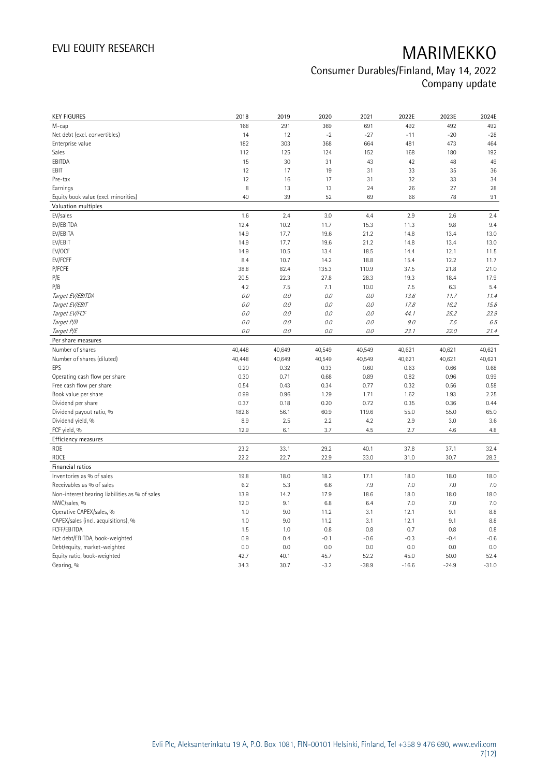|                                                | 2018         | 2019         | 2020           | 2021            | 2022E           | 2023E           | 2024E           |
|------------------------------------------------|--------------|--------------|----------------|-----------------|-----------------|-----------------|-----------------|
| M-cap                                          | 168          | 291          | 369            | 691             | 492             | 492             | 492             |
| Net debt (excl. convertibles)                  | 14           | 12           | $-2$           | $-27$           | $-11$           | $-20$           | $-28$           |
| Enterprise value                               | 182          | 303          | 368            | 664             | 481             | 473             | 464             |
| Sales                                          | 112          | 125          | 124            | 152             | 168             | 180             | 192             |
| EBITDA                                         | 15           | 30           | 31             | 43              | 42              | 48              | 49              |
| EBIT                                           | 12           | 17           | 19             | 31              | 33              | 35              | 36              |
| Pre-tax                                        | 12           | 16           | 17             | 31              | 32              | 33              | 34              |
| Earnings                                       | 8            | 13           | 13             | 24              | 26              | 27              | 28              |
| Equity book value (excl. minorities)           | 40           | 39           | 52             | 69              | 66              | 78              | 91              |
| Valuation multiples                            |              |              |                |                 |                 |                 |                 |
| EV/sales                                       | 1.6          | 2.4          | 3.0            | 4.4             | 2.9             | 2.6             | 2.4             |
| EV/EBITDA                                      | 12.4         | 10.2         | 11.7           | 15.3            | 11.3            | 9.8             | 9.4             |
| EV/EBITA                                       | 14.9         | 17.7         | 19.6           | 21.2            | 14.8            | 13.4            | 13.0            |
| EV/EBIT                                        | 14.9         | 17.7         | 19.6           | 21.2            | 14.8            | 13.4            | 13.0            |
| EV/OCF                                         | 14.9         | 10.5         | 13.4           | 18.5            | 14.4            | 12.1            | 11.5            |
| EV/FCFF                                        | 8.4          | 10.7         | 14.2           | 18.8            | 15.4            | 12.2            | 11.7            |
| P/FCFE                                         | 38.8         | 82.4         | 135.3          | 110.9           | 37.5            | 21.8            | 21.0            |
| P/E                                            | 20.5         | 22.3         | 27.8           | 28.3            | 19.3            | 18.4            | 17.9            |
| P/B                                            | 4.2          | 7.5          | 7.1            | 10.0            | 7.5             | 6.3             | 5.4             |
| Target EV/EBITDA                               | O.O          | 0.0          | $0.0\,$        | 0.0             | 13.6            | 11.7            | 11.4            |
| Target EV/EBIT                                 | O.O          | 0.0          | 0.0            | 0.0             | 17.8            | 16.2            | 15.8            |
| Target EV/FCF                                  | O.O          | 0.0          | 0.0            | 0.0             | 44.1            | 25.2            | 23.9            |
| Target P/B                                     | O.O          | 0.0          | 0.0            | 0.0             | 9.0             | 7.5             | 6.5             |
| Target P/E                                     | $0.0$        | 0.0          | 0.0            | 0.0             | 23.1            | 22.0            | 21.4            |
| Per share measures                             |              |              |                |                 |                 |                 |                 |
| Number of shares                               | 40,448       | 40,649       | 40,549         | 40,549          | 40,621          | 40,621          | 40,621          |
| Number of shares (diluted)                     | 40,448       | 40,649       | 40,549         | 40,549          | 40,621          | 40,621          | 40,621          |
| EPS                                            | 0.20         | 0.32         | 0.33           | 0.60            | 0.63            | 0.66            | 0.68            |
|                                                |              |              |                |                 |                 |                 |                 |
|                                                |              |              |                |                 |                 |                 |                 |
| Operating cash flow per share                  | 0.30         | 0.71         | 0.68           | 0.89            | 0.82            | 0.96            | 0.99            |
| Free cash flow per share                       | 0.54         | 0.43         | 0.34           | 0.77            | 0.32            | 0.56            | 0.58            |
| Book value per share                           | 0.99         | 0.96         | 1.29           | 1.71            | 1.62            | 1.93            | 2.25            |
| Dividend per share                             | 0.37         | 0.18         | 0.20           | 0.72            | 0.35            | 0.36            | 0.44            |
| Dividend payout ratio, %                       | 182.6        | 56.1         | 60.9           | 119.6           | 55.0            | 55.0            | 65.0            |
| Dividend yield, %                              | 8.9          | 2.5          | 2.2            | 4.2             | 2.9             | 3.0             | 3.6             |
| FCF yield, %                                   | 12.9         | 6.1          | 3.7            | 4.5             | 2.7             | 4.6             | 4.8             |
| Efficiency measures                            |              |              |                |                 |                 |                 |                 |
| ROE                                            | 23.2         | 33.1         | 29.2           | 40.1            | 37.8            | 37.1            | 32.4            |
| ROCE                                           | 22.2         | 22.7         | 22.9           | 33.0            | 31.0            | 30.7            | 28.3            |
| Financial ratios                               |              |              |                |                 |                 |                 |                 |
| Inventories as % of sales                      | 19.8         | 18.0         | 18.2           | 17.1            | 18.0            | 18.0            | 18.0            |
| Receivables as % of sales                      | 6.2          | 5.3          | 6.6            | 7.9             | 7.0             | 7.0             | 7.0             |
| Non-interest bearing liabilities as % of sales | 13.9         | 14.2         | 17.9           | 18.6            | 18.0            | 18.0            | 18.0            |
| NWC/sales, %                                   | 12.0         | 9.1          | 6.8            | 6.4             | 7.0             | 7.0             | 7.0             |
| Operative CAPEX/sales, %                       | 1.0          | 9.0          | 11.2           | 3.1             | 12.1            | 9.1             | 8.8             |
| CAPEX/sales (incl. acquisitions), %            | 1.0          | 9.0          | 11.2           | 3.1             | 12.1            | 9.1             | 8.8             |
| FCFF/EBITDA                                    | 1.5          | 1.0          | 0.8            | 0.8             | 0.7             | 0.8             | 0.8             |
| Net debt/EBITDA, book-weighted                 | 0.9          | 0.4          | $-0.1$         | $-0.6$          | $-0.3$          | $-0.4$          | $-0.6$          |
| Debt/equity, market-weighted                   | 0.0          | 0.0          | 0.0            | 0.0             | 0.0             | 0.0             | 0.0             |
| Equity ratio, book-weighted<br>Gearing, %      | 42.7<br>34.3 | 40.1<br>30.7 | 45.7<br>$-3.2$ | 52.2<br>$-38.9$ | 45.0<br>$-16.6$ | 50.0<br>$-24.9$ | 52.4<br>$-31.0$ |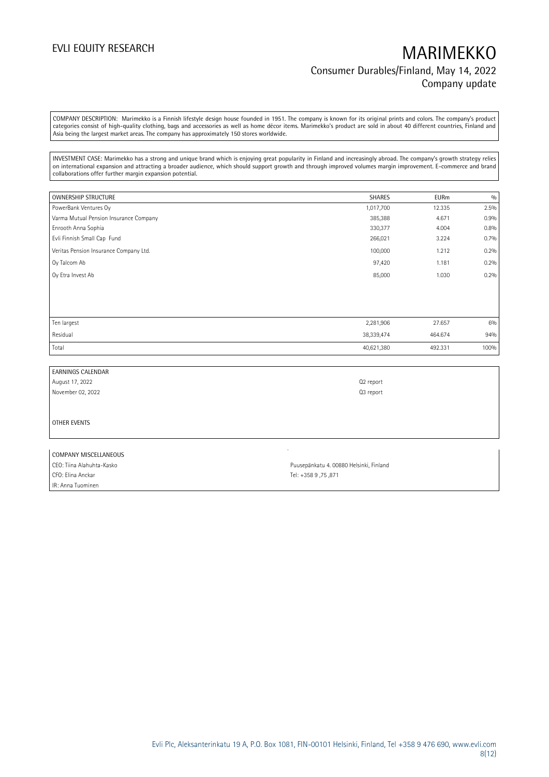## EVLI EQUITY RESEARCH MARIMEKKO Consumer Durables/Finland, May 14, 2022 Company update

COMPANY DESCRIPTION: Marimekko is a Finnish lifestyle design house founded in 1951. The company is known for its original prints and colors. The company's product categories consist of high-quality clothing, bags and accessories as well as home décor items. Marimekko's product are sold in about 40 different countries, Finland and Asia being the largest market areas. The company has approximately 150 stores worldwide.

INVESTMENT CASE: Marimekko has a strong and unique brand which is enjoying great popularity in Finland and increasingly abroad. The company's growth strategy relies on international expansion and attracting a broader audience, which should support growth and through improved volumes margin improvement. E-commerce and brand collaborations offer further margin expansion potential.

| <b>OWNERSHIP STRUCTURE</b>             | <b>SHARES</b> | <b>EURm</b> | 0/0  |
|----------------------------------------|---------------|-------------|------|
| PowerBank Ventures Oy                  | 1,017,700     | 12.335      | 2.5% |
| Varma Mutual Pension Insurance Company | 385,388       | 4.671       | 0.9% |
| Enrooth Anna Sophia                    | 330,377       | 4.004       | 0.8% |
| Evli Finnish Small Cap Fund            | 266,021       | 3.224       | 0.7% |
| Veritas Pension Insurance Company Ltd. | 100,000       | 1.212       | 0.2% |
| Oy Talcom Ab                           | 97,420        | 1.181       | 0.2% |
| Oy Etra Invest Ab                      | 85,000        | 1.030       | 0.2% |
|                                        |               |             |      |
|                                        |               |             |      |
|                                        |               |             |      |
| Ten largest                            | 2,281,906     | 27.657      | 6%   |
| Residual                               | 38,339,474    | 464.674     | 94%  |
| Total                                  | 40,621,380    | 492.331     | 100% |

EARNINGS CALENDAR August 17, 2022 Q2 report November 02, 2022 Q3 report OTHER EVENTS

| COMPANY MISCELLANEOUS       |                                         |
|-----------------------------|-----------------------------------------|
| I CEO: Tiina Alahuhta-Kasko | Puusepänkatu 4. 00880 Helsinki, Finland |
| CFO: Elina Anckar           | Tel: +358 9,75,871                      |
| IR: Anna Tuominen           |                                         |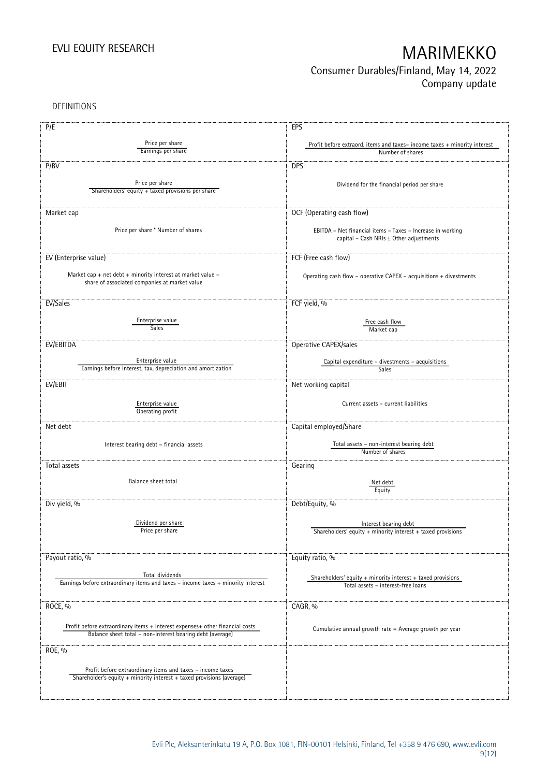## Consumer Durables/Finland, May 14, 2022 Company update

DEFINITIONS

| P/E                                                                                                                                 | EPS                                                                      |
|-------------------------------------------------------------------------------------------------------------------------------------|--------------------------------------------------------------------------|
|                                                                                                                                     |                                                                          |
| Price per share<br>Earnings per share                                                                                               | Profit before extraord. items and taxes-income taxes + minority interest |
|                                                                                                                                     | Number of shares                                                         |
| P/BV                                                                                                                                | <b>DPS</b>                                                               |
|                                                                                                                                     |                                                                          |
| Price per share                                                                                                                     | Dividend for the financial period per share                              |
| Shareholders' equity + taxed provisions per share                                                                                   |                                                                          |
|                                                                                                                                     |                                                                          |
| Market cap                                                                                                                          | OCF (Operating cash flow)                                                |
|                                                                                                                                     |                                                                          |
| Price per share * Number of shares                                                                                                  | EBITDA - Net financial items - Taxes - Increase in working               |
|                                                                                                                                     | capital - Cash NRIs ± Other adjustments                                  |
|                                                                                                                                     |                                                                          |
| EV (Enterprise value)                                                                                                               | FCF (Free cash flow)                                                     |
| Market cap + net debt + minority interest at market value -                                                                         |                                                                          |
| share of associated companies at market value                                                                                       | Operating cash flow - operative CAPEX - acquisitions + divestments       |
|                                                                                                                                     |                                                                          |
|                                                                                                                                     |                                                                          |
| EV/Sales                                                                                                                            | FCF yield, %                                                             |
| Enterprise value                                                                                                                    |                                                                          |
| <b>Sales</b>                                                                                                                        | Free cash flow<br>Market cap                                             |
|                                                                                                                                     |                                                                          |
| EV/EBITDA                                                                                                                           | Operative CAPEX/sales                                                    |
|                                                                                                                                     |                                                                          |
| Enterprise value                                                                                                                    | Capital expenditure - divestments - acquisitions                         |
| Earnings before interest, tax, depreciation and amortization                                                                        | Sales                                                                    |
| EV/EBIT                                                                                                                             | Net working capital                                                      |
|                                                                                                                                     |                                                                          |
| Enterprise value                                                                                                                    | Current assets - current liabilities                                     |
| Operating profit                                                                                                                    |                                                                          |
|                                                                                                                                     |                                                                          |
| Net debt                                                                                                                            | Capital employed/Share                                                   |
|                                                                                                                                     |                                                                          |
| Interest bearing debt - financial assets                                                                                            | Total assets - non-interest bearing debt<br>Number of shares             |
|                                                                                                                                     |                                                                          |
| Total assets                                                                                                                        | Gearing                                                                  |
| Balance sheet total                                                                                                                 |                                                                          |
|                                                                                                                                     | Net debt<br>Equity                                                       |
|                                                                                                                                     |                                                                          |
| Div yield, %                                                                                                                        | Debt/Equity, %                                                           |
|                                                                                                                                     |                                                                          |
| Dividend per share                                                                                                                  | Interest bearing debt                                                    |
| Price per share                                                                                                                     | Shareholders' equity $+$ minority interest $+$ taxed provisions          |
|                                                                                                                                     |                                                                          |
|                                                                                                                                     |                                                                          |
| Payout ratio, %                                                                                                                     | Equity ratio, %                                                          |
| Total dividends                                                                                                                     |                                                                          |
| Earnings before extraordinary items and taxes - income taxes + minority interest                                                    | Shareholders' equity $+$ minority interest $+$ taxed provisions          |
|                                                                                                                                     | Total assets - interest-free loans                                       |
|                                                                                                                                     |                                                                          |
| ROCE, %                                                                                                                             | CAGR, %                                                                  |
|                                                                                                                                     |                                                                          |
| Profit before extraordinary items + interest expenses+ other financial costs                                                        | Cumulative annual growth rate = Average growth per year                  |
| Balance sheet total - non-interest bearing debt (average)                                                                           |                                                                          |
| ROE, %                                                                                                                              |                                                                          |
|                                                                                                                                     |                                                                          |
|                                                                                                                                     |                                                                          |
| Profit before extraordinary items and taxes - income taxes<br>Shareholder's equity + minority interest + taxed provisions (average) |                                                                          |
|                                                                                                                                     |                                                                          |
|                                                                                                                                     |                                                                          |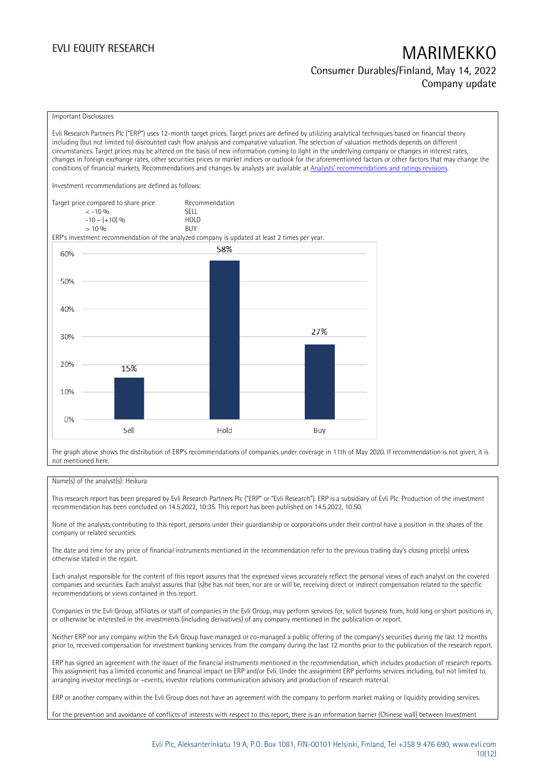Consumer Durables/Finland, May 14, 2022 Company update

### Important Disclosures

Evli Research Partners Plc ("ERP") uses 12-month target prices. Target prices are defined by utilizing analytical techniques based on financial theory including (but not limited to) discounted cash flow analysis and comparative valuation. The selection of valuation methods depends on different circumstances. Target prices may be altered on the basis of new information coming to light in the underlying company or changes in interest rates, changes in foreign exchange rates, other securities prices or market indices or outlook for the aforementioned factors or other factors that may change the conditions of financial markets. Recommendations and changes by analysts are available at [Analysts' recommendations and ratings re](https://research.evli.com/JasperAllModels.action?authParam=key;461&authParam=x;G3rNagWrtf7K&authType=3)visions. Investment recommendations are defined as follows: Target price compared to share price Recommendation<br>CELL CREA < -10 % SELL  $-10 - (+10) \%$  HOL<br>  $> 10 \%$  BUY  $> 10\%$ ERP's investment recommendation of the analyzed company is updated at least 2 times per year. 58% 60% 50% 40% 27% 30% 20% 15% 10% 0% Sell Hold Buy

The graph above shows the distribution of ERP's recommendations of companies under coverage in 11th of May 2020. If recommendation is not given, it is not mentioned here.

### Name(s) of the analyst(s): Heikura

This research report has been prepared by Evli Research Partners Plc ("ERP" or "Evli Research"). ERP is a subsidiary of Evli Plc. Production of the investment recommendation has been concluded on 14.5.2022, 10:35. This report has been published on 14.5.2022, 10:50.

None of the analysts contributing to this report, persons under their guardianship or corporations under their control have a position in the shares of the company or related securities.

The date and time for any price of financial instruments mentioned in the recommendation refer to the previous trading day's closing price(s) unless otherwise stated in the report.

Each analyst responsible for the content of this report assures that the expressed views accurately reflect the personal views of each analyst on the covered companies and securities. Each analyst assures that (s)he has not been, nor are or will be, receiving direct or indirect compensation related to the specific recommendations or views contained in this report.

Companies in the Evli Group, affiliates or staff of companies in the Evli Group, may perform services for, solicit business from, hold long or short positions in, or otherwise be interested in the investments (including derivatives) of any company mentioned in the publication or report.

Neither ERP nor any company within the Evli Group have managed or co-managed a public offering of the company's securities during the last 12 months prior to, received compensation for investment banking services from the company during the last 12 months prior to the publication of the research report.

ERP has signed an agreement with the issuer of the financial instruments mentioned in the recommendation, which includes production of research reports. This assignment has a limited economic and financial impact on ERP and/or Evli. Under the assignment ERP performs services including, but not limited to, arranging investor meetings or –events, investor relations communication advisory and production of research material.

ERP or another company within the Evli Group does not have an agreement with the company to perform market making or liquidity providing services.

For the prevention and avoidance of conflicts of interests with respect to this report, there is an information barrier (Chinese wall) between Investment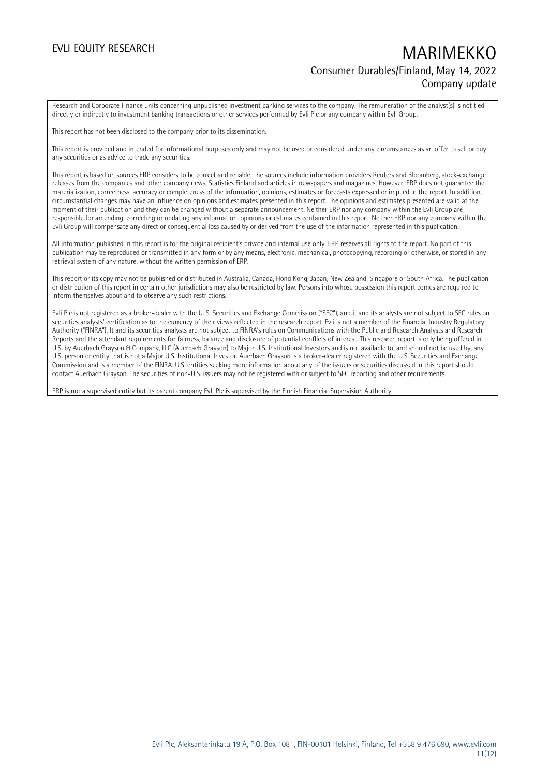## EVLI EQUITY RESEARCH MARIMEKKO Consumer Durables/Finland, May 14, 2022 Company update

Research and Corporate Finance units concerning unpublished investment banking services to the company. The remuneration of the analyst(s) is not tied directly or indirectly to investment banking transactions or other services performed by Evli Plc or any company within Evli Group.

This report has not been disclosed to the company prior to its dissemination.

This report is provided and intended for informational purposes only and may not be used or considered under any circumstances as an offer to sell or buy any securities or as advice to trade any securities.

This report is based on sources ERP considers to be correct and reliable. The sources include information providers Reuters and Bloomberg, stock-exchange releases from the companies and other company news, Statistics Finland and articles in newspapers and magazines. However, ERP does not guarantee the materialization, correctness, accuracy or completeness of the information, opinions, estimates or forecasts expressed or implied in the report. In addition, circumstantial changes may have an influence on opinions and estimates presented in this report. The opinions and estimates presented are valid at the moment of their publication and they can be changed without a separate announcement. Neither ERP nor any company within the Evli Group are responsible for amending, correcting or updating any information, opinions or estimates contained in this report. Neither ERP nor any company within the Evli Group will compensate any direct or consequential loss caused by or derived from the use of the information represented in this publication.

All information published in this report is for the original recipient's private and internal use only. ERP reserves all rights to the report. No part of this publication may be reproduced or transmitted in any form or by any means, electronic, mechanical, photocopying, recording or otherwise, or stored in any retrieval system of any nature, without the written permission of ERP.

This report or its copy may not be published or distributed in Australia, Canada, Hong Kong, Japan, New Zealand, Singapore or South Africa. The publication or distribution of this report in certain other jurisdictions may also be restricted by law. Persons into whose possession this report comes are required to inform themselves about and to observe any such restrictions.

Evli Plc is not registered as a broker-dealer with the U. S. Securities and Exchange Commission ("SEC"), and it and its analysts are not subject to SEC rules on securities analysts' certification as to the currency of their views reflected in the research report. Evli is not a member of the Financial Industry Regulatory Authority ("FINRA"). It and its securities analysts are not subject to FINRA's rules on Communications with the Public and Research Analysts and Research Reports and the attendant requirements for fairness, balance and disclosure of potential conflicts of interest. This research report is only being offered in U.S. by Auerbach Grayson & Company, LLC (Auerbach Grayson) to Major U.S. Institutional Investors and is not available to, and should not be used by, any U.S. person or entity that is not a Major U.S. Institutional Investor. Auerbach Grayson is a broker-dealer registered with the U.S. Securities and Exchange Commission and is a member of the FINRA. U.S. entities seeking more information about any of the issuers or securities discussed in this report should contact Auerbach Grayson. The securities of non-U.S. issuers may not be registered with or subject to SEC reporting and other requirements.

ERP is not a supervised entity but its parent company Evli Plc is supervised by the Finnish Financial Supervision Authority.